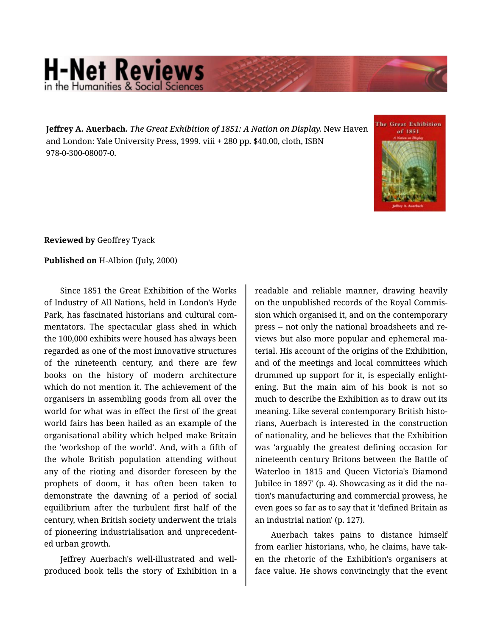## **H-Net Reviews** in the Humanities & Social Scie

**Jeffrey A. Auerbach.** *The Great Exhibition of 1851: A Nation on Display.* New Haven and London: Yale University Press, 1999. viii + 280 pp. \$40.00, cloth, ISBN 978-0-300-08007-0.



**Reviewed by** Geoffrey Tyack

## **Published on** H-Albion (July, 2000)

Since 1851 the Great Exhibition of the Works of Industry of All Nations, held in London's Hyde Park, has fascinated historians and cultural com‐ mentators. The spectacular glass shed in which the 100,000 exhibits were housed has always been regarded as one of the most innovative structures of the nineteenth century, and there are few books on the history of modern architecture which do not mention it. The achievement of the organisers in assembling goods from all over the world for what was in effect the first of the great world fairs has been hailed as an example of the organisational ability which helped make Britain the 'workshop of the world'. And, with a fifth of the whole British population attending without any of the rioting and disorder foreseen by the prophets of doom, it has often been taken to demonstrate the dawning of a period of social equilibrium after the turbulent first half of the century, when British society underwent the trials of pioneering industrialisation and unprecedent‐ ed urban growth.

Jeffrey Auerbach's well-illustrated and wellproduced book tells the story of Exhibition in a

readable and reliable manner, drawing heavily on the unpublished records of the Royal Commis‐ sion which organised it, and on the contemporary press -- not only the national broadsheets and re‐ views but also more popular and ephemeral ma‐ terial. His account of the origins of the Exhibition, and of the meetings and local committees which drummed up support for it, is especially enlight‐ ening. But the main aim of his book is not so much to describe the Exhibition as to draw out its meaning. Like several contemporary British histo‐ rians, Auerbach is interested in the construction of nationality, and he believes that the Exhibition was 'arguably the greatest defining occasion for nineteenth century Britons between the Battle of Waterloo in 1815 and Queen Victoria's Diamond Jubilee in 1897' (p. 4). Showcasing as it did the na‐ tion's manufacturing and commercial prowess, he even goes so far as to say that it 'defined Britain as an industrial nation' (p. 127).

Auerbach takes pains to distance himself from earlier historians, who, he claims, have tak‐ en the rhetoric of the Exhibition's organisers at face value. He shows convincingly that the event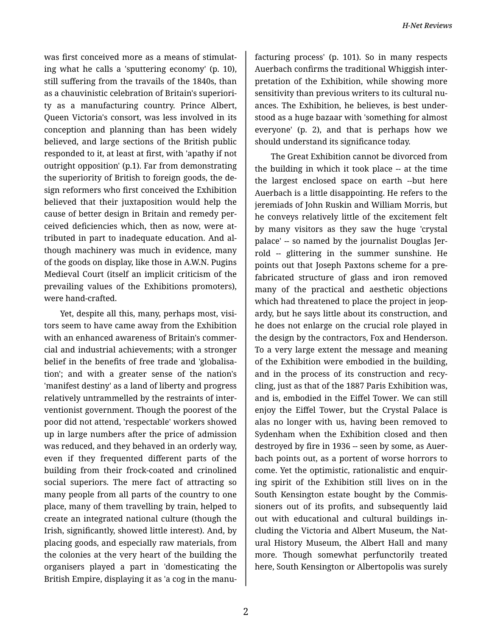was first conceived more as a means of stimulat‐ ing what he calls a 'sputtering economy' (p. 10), still suffering from the travails of the 1840s, than as a chauvinistic celebration of Britain's superiori‐ ty as a manufacturing country. Prince Albert, Queen Victoria's consort, was less involved in its conception and planning than has been widely believed, and large sections of the British public responded to it, at least at first, with 'apathy if not outright opposition' (p.1). Far from demonstrating the superiority of British to foreign goods, the de‐ sign reformers who first conceived the Exhibition believed that their juxtaposition would help the cause of better design in Britain and remedy per‐ ceived deficiencies which, then as now, were at‐ tributed in part to inadequate education. And al‐ though machinery was much in evidence, many of the goods on display, like those in A.W.N. Pugins Medieval Court (itself an implicit criticism of the prevailing values of the Exhibitions promoters), were hand-crafted.

Yet, despite all this, many, perhaps most, visitors seem to have came away from the Exhibition with an enhanced awareness of Britain's commer‐ cial and industrial achievements; with a stronger belief in the benefits of free trade and 'globalisa‐ tion'; and with a greater sense of the nation's 'manifest destiny' as a land of liberty and progress relatively untrammelled by the restraints of inter‐ ventionist government. Though the poorest of the poor did not attend, 'respectable' workers showed up in large numbers after the price of admission was reduced, and they behaved in an orderly way, even if they frequented different parts of the building from their frock-coated and crinolined social superiors. The mere fact of attracting so many people from all parts of the country to one place, many of them travelling by train, helped to create an integrated national culture (though the Irish, significantly, showed little interest). And, by placing goods, and especially raw materials, from the colonies at the very heart of the building the organisers played a part in 'domesticating the British Empire, displaying it as 'a cog in the manu‐

facturing process' (p. 101). So in many respects Auerbach confirms the traditional Whiggish inter‐ pretation of the Exhibition, while showing more sensitivity than previous writers to its cultural nu‐ ances. The Exhibition, he believes, is best under‐ stood as a huge bazaar with 'something for almost everyone' (p. 2), and that is perhaps how we should understand its significance today.

The Great Exhibition cannot be divorced from the building in which it took place -- at the time the largest enclosed space on earth --but here Auerbach is a little disappointing. He refers to the jeremiads of John Ruskin and William Morris, but he conveys relatively little of the excitement felt by many visitors as they saw the huge 'crystal palace' -- so named by the journalist Douglas Jer‐ rold -- glittering in the summer sunshine. He points out that Joseph Paxtons scheme for a pre‐ fabricated structure of glass and iron removed many of the practical and aesthetic objections which had threatened to place the project in jeopardy, but he says little about its construction, and he does not enlarge on the crucial role played in the design by the contractors, Fox and Henderson. To a very large extent the message and meaning of the Exhibition were embodied in the building, and in the process of its construction and recy‐ cling, just as that of the 1887 Paris Exhibition was, and is, embodied in the Eiffel Tower. We can still enjoy the Eiffel Tower, but the Crystal Palace is alas no longer with us, having been removed to Sydenham when the Exhibition closed and then destroyed by fire in 1936 -- seen by some, as Auerbach points out, as a portent of worse horrors to come. Yet the optimistic, rationalistic and enquir‐ ing spirit of the Exhibition still lives on in the South Kensington estate bought by the Commis‐ sioners out of its profits, and subsequently laid out with educational and cultural buildings in‐ cluding the Victoria and Albert Museum, the Nat‐ ural History Museum, the Albert Hall and many more. Though somewhat perfunctorily treated here, South Kensington or Albertopolis was surely